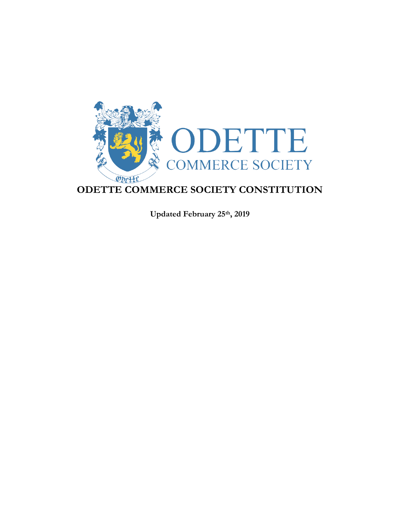

**Updated February 25th, 2019**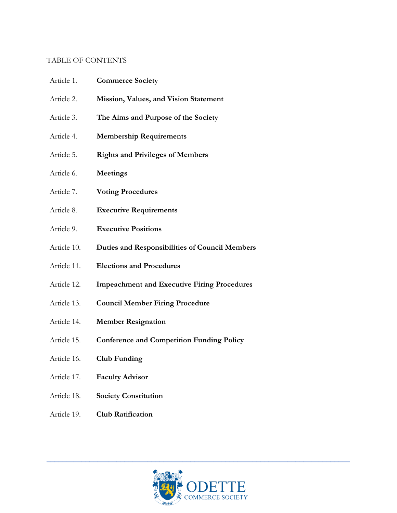### TABLE OF CONTENTS

| Article 1.  | <b>Commerce Society</b>                               |
|-------------|-------------------------------------------------------|
| Article 2.  | Mission, Values, and Vision Statement                 |
| Article 3.  | The Aims and Purpose of the Society                   |
| Article 4.  | <b>Membership Requirements</b>                        |
| Article 5.  | <b>Rights and Privileges of Members</b>               |
| Article 6.  | <b>Meetings</b>                                       |
| Article 7.  | <b>Voting Procedures</b>                              |
| Article 8.  | <b>Executive Requirements</b>                         |
| Article 9.  | <b>Executive Positions</b>                            |
| Article 10. | <b>Duties and Responsibilities of Council Members</b> |
| Article 11. | <b>Elections and Procedures</b>                       |
| Article 12. | <b>Impeachment and Executive Firing Procedures</b>    |
| Article 13. | <b>Council Member Firing Procedure</b>                |
| Article 14. | <b>Member Resignation</b>                             |

- Article 15. **Conference and Competition Funding Policy**
- Article 16. **Club Funding**
- Article 17. **Faculty Advisor**
- Article 18. **Society Constitution**
- Article 19. **Club Ratification**

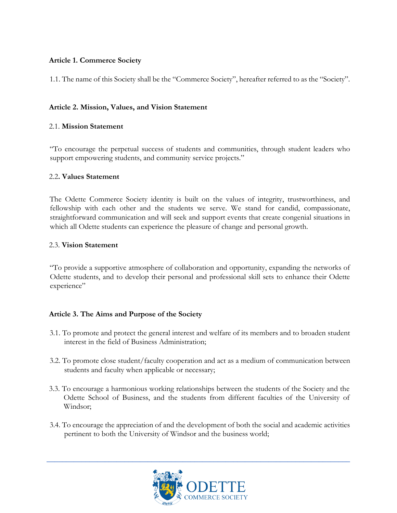# **Article 1. Commerce Society**

1.1. The name of this Society shall be the "Commerce Society", hereafter referred to as the "Society".

### **Article 2. Mission, Values, and Vision Statement**

## 2.1. **Mission Statement**

"To encourage the perpetual success of students and communities, through student leaders who support empowering students, and community service projects."

#### 2.2**. Values Statement**

The Odette Commerce Society identity is built on the values of integrity, trustworthiness, and fellowship with each other and the students we serve. We stand for candid, compassionate, straightforward communication and will seek and support events that create congenial situations in which all Odette students can experience the pleasure of change and personal growth.

#### 2.3. **Vision Statement**

"To provide a supportive atmosphere of collaboration and opportunity, expanding the networks of Odette students, and to develop their personal and professional skill sets to enhance their Odette experience"

# **Article 3. The Aims and Purpose of the Society**

- 3.1. To promote and protect the general interest and welfare of its members and to broaden student interest in the field of Business Administration;
- 3.2. To promote close student/faculty cooperation and act as a medium of communication between students and faculty when applicable or necessary;
- 3.3. To encourage a harmonious working relationships between the students of the Society and the Odette School of Business, and the students from different faculties of the University of Windsor;
- 3.4. To encourage the appreciation of and the development of both the social and academic activities pertinent to both the University of Windsor and the business world;

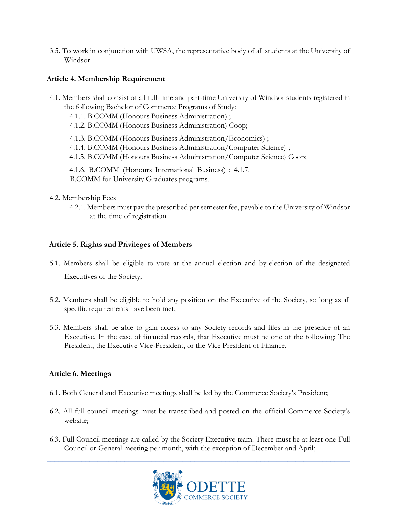3.5. To work in conjunction with UWSA, the representative body of all students at the University of Windsor.

# **Article 4. Membership Requirement**

4.1. Members shall consist of all full-time and part-time University of Windsor students registered in the following Bachelor of Commerce Programs of Study: 4.1.1. B.COMM (Honours Business Administration) ; 4.1.2. B.COMM (Honours Business Administration) Coop; 4.1.3. B.COMM (Honours Business Administration/Economics) ; 4.1.4. B.COMM (Honours Business Administration/Computer Science) ; 4.1.5. B.COMM (Honours Business Administration/Computer Science) Coop; 4.1.6. B.COMM (Honours International Business) ; 4.1.7. B.COMM for University Graduates programs.

## 4.2. Membership Fees

4.2.1. Members must pay the prescribed per semester fee, payable to the University of Windsor at the time of registration.

## **Article 5. Rights and Privileges of Members**

- 5.1. Members shall be eligible to vote at the annual election and by-election of the designated Executives of the Society;
- 5.2. Members shall be eligible to hold any position on the Executive of the Society, so long as all specific requirements have been met;
- 5.3. Members shall be able to gain access to any Society records and files in the presence of an Executive. In the case of financial records, that Executive must be one of the following: The President, the Executive Vice-President, or the Vice President of Finance.

# **Article 6. Meetings**

- 6.1. Both General and Executive meetings shall be led by the Commerce Society's President;
- 6.2. All full council meetings must be transcribed and posted on the official Commerce Society's website;
- 6.3. Full Council meetings are called by the Society Executive team. There must be at least one Full Council or General meeting per month, with the exception of December and April;

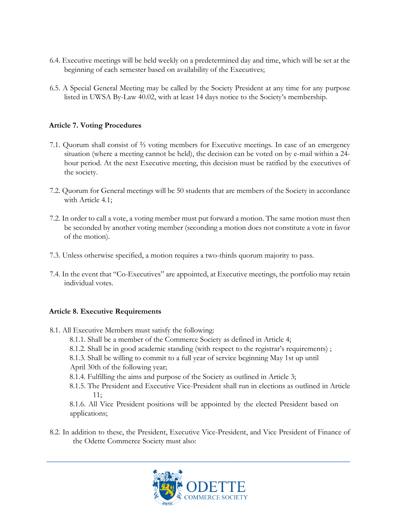- 6.4. Executive meetings will be held weekly on a predetermined day and time, which will be set at the beginning of each semester based on availability of the Executives;
- 6.5. A Special General Meeting may be called by the Society President at any time for any purpose listed in UWSA By-Law 40.02, with at least 14 days notice to the Society's membership.

# **Article 7. Voting Procedures**

- 7.1. Quorum shall consist of ⅔ voting members for Executive meetings. In case of an emergency situation (where a meeting cannot be held), the decision can be voted on by e-mail within a 24 hour period. At the next Executive meeting, this decision must be ratified by the executives of the society.
- 7.2. Quorum for General meetings will be 50 students that are members of the Society in accordance with Article 4.1;
- 7.2. In order to call a vote, a voting member must put forward a motion. The same motion must then be seconded by another voting member (seconding a motion does not constitute a vote in favor of the motion).
- 7.3. Unless otherwise specified, a motion requires a two-thirds quorum majority to pass.
- 7.4. In the event that "Co-Executives" are appointed, at Executive meetings, the portfolio may retain individual votes.

#### **Article 8. Executive Requirements**

- 8.1. All Executive Members must satisfy the following:
	- 8.1.1. Shall be a member of the Commerce Society as defined in Article 4;
	- 8.1.2. Shall be in good academic standing (with respect to the registrar's requirements) ;
	- 8.1.3. Shall be willing to commit to a full year of service beginning May 1st up until
	- April 30th of the following year;
	- 8.1.4. Fulfilling the aims and purpose of the Society as outlined in Article 3;
	- 8.1.5. The President and Executive Vice-President shall run in elections as outlined in Article 11;

8.1.6. All Vice President positions will be appointed by the elected President based on applications;

8.2. In addition to these, the President, Executive Vice-President, and Vice President of Finance of the Odette Commerce Society must also:

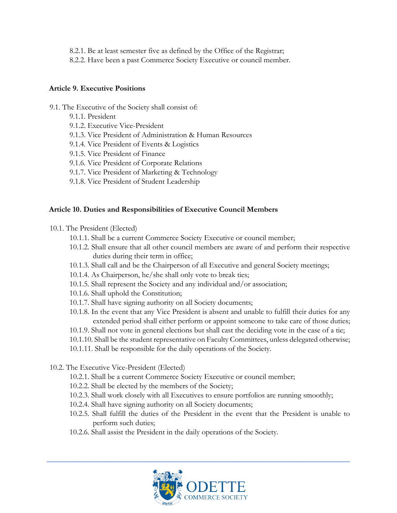- 8.2.1. Be at least semester five as defined by the Office of the Registrar;
- 8.2.2. Have been a past Commerce Society Executive or council member.

### **Article 9. Executive Positions**

- 9.1. The Executive of the Society shall consist of:
	- 9.1.1. President
	- 9.1.2. Executive Vice-President
	- 9.1.3. Vice President of Administration & Human Resources
	- 9.1.4. Vice President of Events & Logistics
	- 9.1.5. Vice President of Finance
	- 9.1.6. Vice President of Corporate Relations
	- 9.1.7. Vice President of Marketing & Technology
	- 9.1.8. Vice President of Student Leadership

## **Article 10. Duties and Responsibilities of Executive Council Members**

- 10.1. The President (Elected)
	- 10.1.1. Shall be a current Commerce Society Executive or council member;
	- 10.1.2. Shall ensure that all other council members are aware of and perform their respective duties during their term in office;
	- 10.1.3. Shall call and be the Chairperson of all Executive and general Society meetings;
	- 10.1.4. As Chairperson, he/she shall only vote to break ties;
	- 10.1.5. Shall represent the Society and any individual and/or association;
	- 10.1.6. Shall uphold the Constitution;
	- 10.1.7. Shall have signing authority on all Society documents;
	- 10.1.8. In the event that any Vice President is absent and unable to fulfill their duties for any extended period shall either perform or appoint someone to take care of those duties;
	- 10.1.9. Shall not vote in general elections but shall cast the deciding vote in the case of a tie;
	- 10.1.10. Shall be the student representative on Faculty Committees, unless delegated otherwise;
	- 10.1.11. Shall be responsible for the daily operations of the Society.
- 10.2. The Executive Vice-President (Elected)
	- 10.2.1. Shall be a current Commerce Society Executive or council member;
	- 10.2.2. Shall be elected by the members of the Society;
	- 10.2.3. Shall work closely with all Executives to ensure portfolios are running smoothly;
	- 10.2.4. Shall have signing authority on all Society documents;
	- 10.2.5. Shall fulfill the duties of the President in the event that the President is unable to perform such duties;
	- 10.2.6. Shall assist the President in the daily operations of the Society.

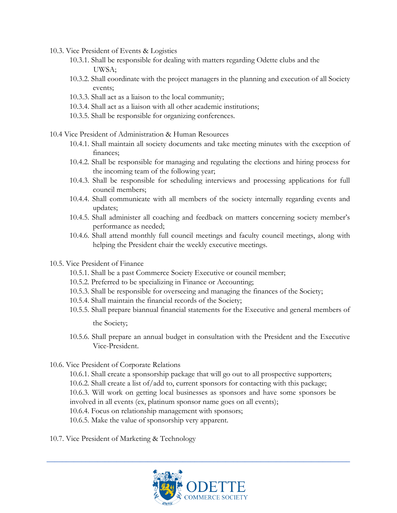- 10.3. Vice President of Events & Logistics
	- 10.3.1. Shall be responsible for dealing with matters regarding Odette clubs and the UWSA;
	- 10.3.2. Shall coordinate with the project managers in the planning and execution of all Society events;
	- 10.3.3. Shall act as a liaison to the local community;
	- 10.3.4. Shall act as a liaison with all other academic institutions;
	- 10.3.5. Shall be responsible for organizing conferences.
- 10.4 Vice President of Administration & Human Resources
	- 10.4.1. Shall maintain all society documents and take meeting minutes with the exception of finances;
	- 10.4.2. Shall be responsible for managing and regulating the elections and hiring process for the incoming team of the following year;
	- 10.4.3. Shall be responsible for scheduling interviews and processing applications for full council members;
	- 10.4.4. Shall communicate with all members of the society internally regarding events and updates;
	- 10.4.5. Shall administer all coaching and feedback on matters concerning society member's performance as needed;
	- 10.4.6. Shall attend monthly full council meetings and faculty council meetings, along with helping the President chair the weekly executive meetings.
- 10.5. Vice President of Finance
	- 10.5.1. Shall be a past Commerce Society Executive or council member;
	- 10.5.2. Preferred to be specializing in Finance or Accounting;
	- 10.5.3. Shall be responsible for overseeing and managing the finances of the Society;
	- 10.5.4. Shall maintain the financial records of the Society;
	- 10.5.5. Shall prepare biannual financial statements for the Executive and general members of the Society;
	- 10.5.6. Shall prepare an annual budget in consultation with the President and the Executive Vice-President.
- 10.6. Vice President of Corporate Relations
	- 10.6.1. Shall create a sponsorship package that will go out to all prospective supporters;
	- 10.6.2. Shall create a list of/add to, current sponsors for contacting with this package;
	- 10.6.3. Will work on getting local businesses as sponsors and have some sponsors be involved in all events (ex, platinum sponsor name goes on all events);
	- 10.6.4. Focus on relationship management with sponsors;
	- 10.6.5. Make the value of sponsorship very apparent.
- 10.7. Vice President of Marketing & Technology

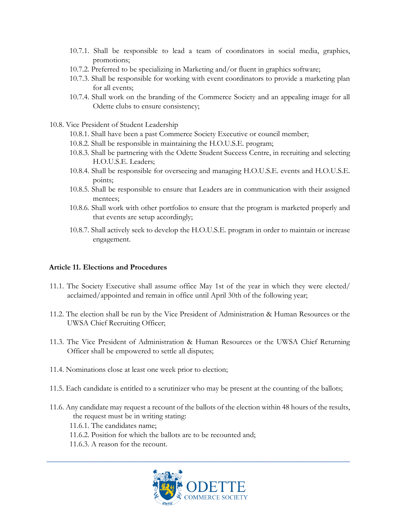- 10.7.1. Shall be responsible to lead a team of coordinators in social media, graphics, promotions;
- 10.7.2. Preferred to be specializing in Marketing and/or fluent in graphics software;
- 10.7.3. Shall be responsible for working with event coordinators to provide a marketing plan for all events;
- 10.7.4. Shall work on the branding of the Commerce Society and an appealing image for all Odette clubs to ensure consistency;
- 10.8. Vice President of Student Leadership
	- 10.8.1. Shall have been a past Commerce Society Executive or council member;
	- 10.8.2. Shall be responsible in maintaining the H.O.U.S.E. program;
	- 10.8.3. Shall be partnering with the Odette Student Success Centre, in recruiting and selecting H.O.U.S.E. Leaders;
	- 10.8.4. Shall be responsible for overseeing and managing H.O.U.S.E. events and H.O.U.S.E. points;
	- 10.8.5. Shall be responsible to ensure that Leaders are in communication with their assigned mentees;
	- 10.8.6. Shall work with other portfolios to ensure that the program is marketed properly and that events are setup accordingly;
	- 10.8.7. Shall actively seek to develop the H.O.U.S.E. program in order to maintain or increase engagement.

#### **Article 11. Elections and Procedures**

- 11.1. The Society Executive shall assume office May 1st of the year in which they were elected/ acclaimed/appointed and remain in office until April 30th of the following year;
- 11.2. The election shall be run by the Vice President of Administration & Human Resources or the UWSA Chief Recruiting Officer;
- 11.3. The Vice President of Administration & Human Resources or the UWSA Chief Returning Officer shall be empowered to settle all disputes;
- 11.4. Nominations close at least one week prior to election;
- 11.5. Each candidate is entitled to a scrutinizer who may be present at the counting of the ballots;
- 11.6. Any candidate may request a recount of the ballots of the election within 48 hours of the results, the request must be in writing stating:

11.6.1. The candidates name;

- 11.6.2. Position for which the ballots are to be recounted and;
- 11.6.3. A reason for the recount.

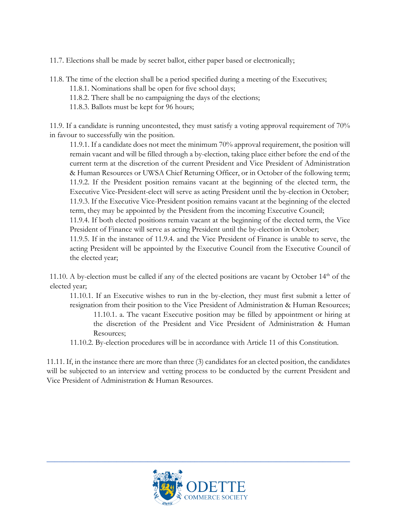11.7. Elections shall be made by secret ballot, either paper based or electronically;

11.8. The time of the election shall be a period specified during a meeting of the Executives;

- 11.8.1. Nominations shall be open for five school days;
- 11.8.2. There shall be no campaigning the days of the elections;
- 11.8.3. Ballots must be kept for 96 hours;

11.9. If a candidate is running uncontested, they must satisfy a voting approval requirement of 70% in favour to successfully win the position.

11.9.1. If a candidate does not meet the minimum 70% approval requirement, the position will remain vacant and will be filled through a by-election, taking place either before the end of the current term at the discretion of the current President and Vice President of Administration & Human Resources or UWSA Chief Returning Officer, or in October of the following term; 11.9.2. If the President position remains vacant at the beginning of the elected term, the Executive Vice-President-elect will serve as acting President until the by-election in October; 11.9.3. If the Executive Vice-President position remains vacant at the beginning of the elected term, they may be appointed by the President from the incoming Executive Council;

11.9.4. If both elected positions remain vacant at the beginning of the elected term, the Vice President of Finance will serve as acting President until the by-election in October;

11.9.5. If in the instance of 11.9.4. and the Vice President of Finance is unable to serve, the acting President will be appointed by the Executive Council from the Executive Council of the elected year;

11.10. A by-election must be called if any of the elected positions are vacant by October  $14<sup>th</sup>$  of the elected year;

- 11.10.1. If an Executive wishes to run in the by-election, they must first submit a letter of resignation from their position to the Vice President of Administration & Human Resources;
	- 11.10.1. a. The vacant Executive position may be filled by appointment or hiring at the discretion of the President and Vice President of Administration & Human Resources;
- 11.10.2. By-election procedures will be in accordance with Article 11 of this Constitution.

11.11. If, in the instance there are more than three (3) candidates for an elected position, the candidates will be subjected to an interview and vetting process to be conducted by the current President and Vice President of Administration & Human Resources.

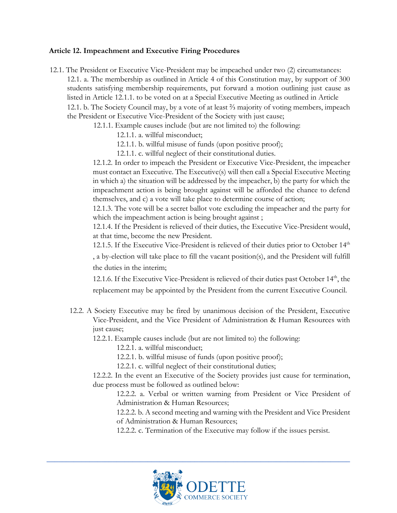#### **Article 12. Impeachment and Executive Firing Procedures**

12.1. The President or Executive Vice-President may be impeached under two (2) circumstances: 12.1. a. The membership as outlined in Article 4 of this Constitution may, by support of 300 students satisfying membership requirements, put forward a motion outlining just cause as listed in Article 12.1.1. to be voted on at a Special Executive Meeting as outlined in Article 12.1. b. The Society Council may, by a vote of at least ⅔ majority of voting members, impeach the President or Executive Vice-President of the Society with just cause;

12.1.1. Example causes include (but are not limited to) the following:

12.1.1. a. willful misconduct;

12.1.1. b. willful misuse of funds (upon positive proof);

12.1.1. c. willful neglect of their constitutional duties.

12.1.2. In order to impeach the President or Executive Vice-President, the impeacher must contact an Executive. The Executive(s) will then call a Special Executive Meeting in which a) the situation will be addressed by the impeacher, b) the party for which the impeachment action is being brought against will be afforded the chance to defend themselves, and c) a vote will take place to determine course of action;

12.1.3. The vote will be a secret ballot vote excluding the impeacher and the party for which the impeachment action is being brought against;

12.1.4. If the President is relieved of their duties, the Executive Vice-President would, at that time, become the new President.

12.1.5. If the Executive Vice-President is relieved of their duties prior to October  $14<sup>th</sup>$ 

, a by-election will take place to fill the vacant position(s), and the President will fulfill the duties in the interim;

12.1.6. If the Executive Vice-President is relieved of their duties past October  $14<sup>th</sup>$ , the replacement may be appointed by the President from the current Executive Council.

12.2. A Society Executive may be fired by unanimous decision of the President, Executive Vice-President, and the Vice President of Administration & Human Resources with just cause;

12.2.1. Example causes include (but are not limited to) the following:

12.2.1. a. willful misconduct;

12.2.1. b. willful misuse of funds (upon positive proof);

12.2.1. c. willful neglect of their constitutional duties;

12.2.2. In the event an Executive of the Society provides just cause for termination, due process must be followed as outlined below:

12.2.2. a. Verbal or written warning from President or Vice President of Administration & Human Resources;

12.2.2. b. A second meeting and warning with the President and Vice President of Administration & Human Resources;

12.2.2. c. Termination of the Executive may follow if the issues persist.

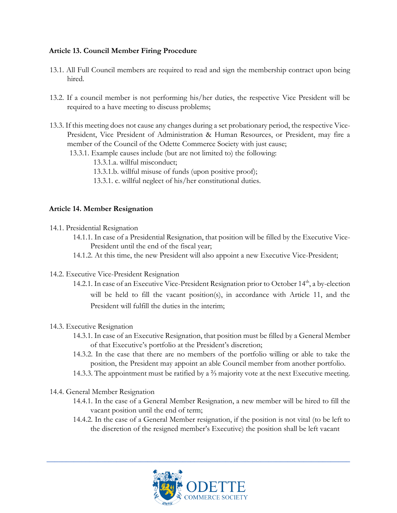## **Article 13. Council Member Firing Procedure**

- 13.1. All Full Council members are required to read and sign the membership contract upon being hired.
- 13.2. If a council member is not performing his/her duties, the respective Vice President will be required to a have meeting to discuss problems;
- 13.3. If this meeting does not cause any changes during a set probationary period, the respective Vice-President, Vice President of Administration & Human Resources, or President, may fire a member of the Council of the Odette Commerce Society with just cause;
	- 13.3.1. Example causes include (but are not limited to) the following:
		- 13.3.1.a. willful misconduct;
		- 13.3.1.b. willful misuse of funds (upon positive proof);
		- 13.3.1. c. willful neglect of his/her constitutional duties.

#### **Article 14. Member Resignation**

- 14.1. Presidential Resignation
	- 14.1.1. In case of a Presidential Resignation, that position will be filled by the Executive Vice-President until the end of the fiscal year;
	- 14.1.2. At this time, the new President will also appoint a new Executive Vice-President;
- 14.2. Executive Vice-President Resignation
	- 14.2.1. In case of an Executive Vice-President Resignation prior to October 14<sup>th</sup>, a by-election will be held to fill the vacant position(s), in accordance with Article 11, and the President will fulfill the duties in the interim;
- 14.3. Executive Resignation
	- 14.3.1. In case of an Executive Resignation, that position must be filled by a General Member of that Executive's portfolio at the President's discretion;
	- 14.3.2. In the case that there are no members of the portfolio willing or able to take the position, the President may appoint an able Council member from another portfolio.
	- 14.3.3. The appointment must be ratified by a ⅔ majority vote at the next Executive meeting.
- 14.4. General Member Resignation
	- 14.4.1. In the case of a General Member Resignation, a new member will be hired to fill the vacant position until the end of term;
	- 14.4.2. In the case of a General Member resignation, if the position is not vital (to be left to the discretion of the resigned member's Executive) the position shall be left vacant

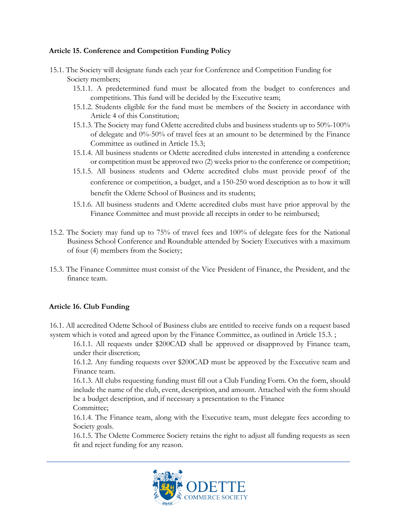## **Article 15. Conference and Competition Funding Policy**

- 15.1. The Society will designate funds each year for Conference and Competition Funding for Society members;
	- 15.1.1. A predetermined fund must be allocated from the budget to conferences and competitions. This fund will be decided by the Executive team;
	- 15.1.2. Students eligible for the fund must be members of the Society in accordance with Article 4 of this Constitution;
	- 15.1.3. The Society may fund Odette accredited clubs and business students up to 50%-100% of delegate and 0%-50% of travel fees at an amount to be determined by the Finance Committee as outlined in Article 15.3;
	- 15.1.4. All business students or Odette accredited clubs interested in attending a conference or competition must be approved two (2) weeks prior to the conference or competition;
	- 15.1.5. All business students and Odette accredited clubs must provide proof of the conference or competition, a budget, and a 150-250 word description as to how it will benefit the Odette School of Business and its students;
	- 15.1.6. All business students and Odette accredited clubs must have prior approval by the Finance Committee and must provide all receipts in order to be reimbursed;
- 15.2. The Society may fund up to 75% of travel fees and 100% of delegate fees for the National Business School Conference and Roundtable attended by Society Executives with a maximum of four (4) members from the Society;
- 15.3. The Finance Committee must consist of the Vice President of Finance, the President, and the finance team.

# **Article 16. Club Funding**

16.1. All accredited Odette School of Business clubs are entitled to receive funds on a request based system which is voted and agreed upon by the Finance Committee, as outlined in Article 15.3. ;

16.1.1. All requests under \$200CAD shall be approved or disapproved by Finance team, under their discretion;

16.1.2. Any funding requests over \$200CAD must be approved by the Executive team and Finance team.

16.1.3. All clubs requesting funding must fill out a Club Funding Form. On the form, should include the name of the club, event, description, and amount. Attached with the form should be a budget description, and if necessary a presentation to the Finance Committee;

16.1.4. The Finance team, along with the Executive team, must delegate fees according to Society goals.

16.1.5. The Odette Commerce Society retains the right to adjust all funding requests as seen fit and reject funding for any reason.